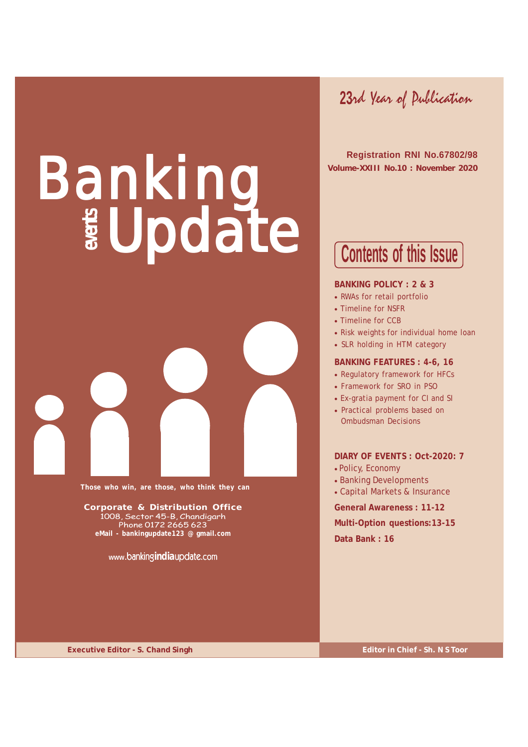**23**rd Year of Publication

 **Registration RNI No.67802/98 Volume-XXIII No.10 : November 2020**

Banking Update



**Those who win, are those, who think they can**

**Corporate & Distribution Office** 1008, Sector 45-B, Chandigarh Phone 0172 2665 623 **eMail - bankingupdate123 @ gmail.com**

**www.**banking**india**update.com

**Contents of this Issue**

### **BANKING POLICY : 2 & 3**

- RWAs for retail portfolio
- Timeline for NSFR
- Timeline for CCB
- Risk weights for individual home loan
- SLR holding in HTM category

### **BANKING FEATURES : 4-6, 16**

- Regulatory framework for HFCs
- Framework for SRO in PSO
- Ex-gratia payment for CI and SI
- Practical problems based on Ombudsman Decisions

**DIARY OF EVENTS : Oct-2020: 7** • Policy, Economy

- 
- Banking Developments
- Capital Markets & Insurance

**General Awareness : 11-12**

**Multi-Option questions:13-15**

**Data Bank : 16**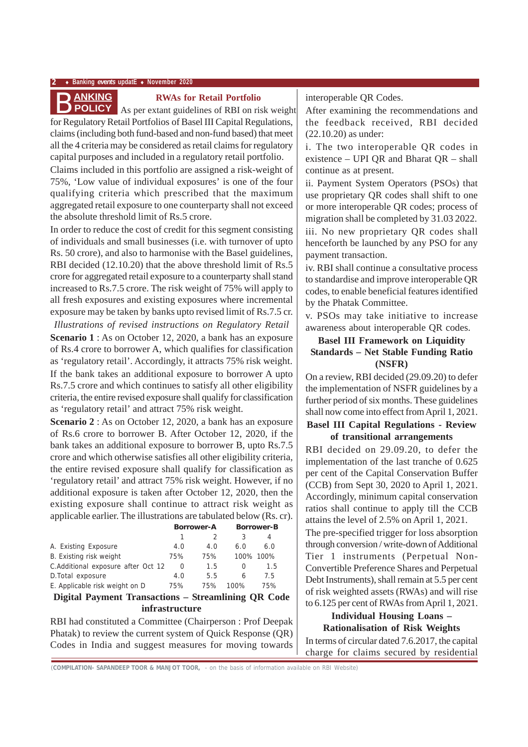### **2** ♦ **Banking** *events* **updatE** ♦ **November 2020**

### **RWAs for Retail Portfolio**

**ANKING**<br>**As per extant guidelines of RBI on risk weight**<br>**As per extant guidelines of RBI on risk weight** for Regulatory Retail Portfolios of Basel III Capital Regulations, claims (including both fund-based and non-fund based) that meet all the 4 criteria may be considered as retail claims for regulatory capital purposes and included in a regulatory retail portfolio.

Claims included in this portfolio are assigned a risk-weight of 75%, 'Low value of individual exposures' is one of the four qualifying criteria which prescribed that the maximum aggregated retail exposure to one counterparty shall not exceed the absolute threshold limit of Rs.5 crore.

In order to reduce the cost of credit for this segment consisting of individuals and small businesses (i.e. with turnover of upto Rs. 50 crore), and also to harmonise with the Basel guidelines, RBI decided (12.10.20) that the above threshold limit of Rs.5 crore for aggregated retail exposure to a counterparty shall stand increased to Rs.7.5 crore. The risk weight of 75% will apply to all fresh exposures and existing exposures where incremental exposure may be taken by banks upto revised limit of Rs.7.5 cr.

*Illustrations of revised instructions on Regulatory Retail* **Scenario 1** : As on October 12, 2020, a bank has an exposure of Rs.4 crore to borrower A, which qualifies for classification as 'regulatory retail'. Accordingly, it attracts 75% risk weight. If the bank takes an additional exposure to borrower A upto Rs.7.5 crore and which continues to satisfy all other eligibility criteria, the entire revised exposure shall qualify for classification as 'regulatory retail' and attract 75% risk weight.

**Scenario 2** : As on October 12, 2020, a bank has an exposure of Rs.6 crore to borrower B. After October 12, 2020, if the bank takes an additional exposure to borrower B, upto Rs.7.5 crore and which otherwise satisfies all other eligibility criteria, the entire revised exposure shall qualify for classification as 'regulatory retail' and attract 75% risk weight. However, if no additional exposure is taken after October 12, 2020, then the existing exposure shall continue to attract risk weight as applicable earlier. The illustrations are tabulated below (Rs. cr).

|                                                     | <b>Borrower-A</b> |     |      | <b>Borrower-B</b> |  |
|-----------------------------------------------------|-------------------|-----|------|-------------------|--|
|                                                     | 1                 |     | 3    | 4                 |  |
| A. Existing Exposure                                | 4.0               | 4.0 | 6.0  | 6.0               |  |
| B. Existing risk weight                             | 75%               | 75% |      | 100% 100%         |  |
| C.Additional exposure after Oct 12                  | $\Omega$          | 1.5 | Ω    | 1.5               |  |
| D. Total exposure                                   | 4.0               | 5.5 | 6    | 7.5               |  |
| E. Applicable risk weight on D                      | 75%               | 75% | 100% | 75%               |  |
| Digital Payment Transactions – Streamlining QR Code |                   |     |      |                   |  |

**infrastructure**

RBI had constituted a Committee (Chairperson : Prof Deepak Phatak) to review the current system of Quick Response (QR) Codes in India and suggest measures for moving towards interoperable QR Codes.

After examining the recommendations and the feedback received, RBI decided (22.10.20) as under:

i. The two interoperable QR codes in existence – UPI QR and Bharat QR – shall continue as at present.

ii. Payment System Operators (PSOs) that use proprietary QR codes shall shift to one or more interoperable QR codes; process of migration shall be completed by 31.03 2022.

iii. No new proprietary QR codes shall henceforth be launched by any PSO for any payment transaction.

iv. RBI shall continue a consultative process to standardise and improve interoperable QR codes, to enable beneficial features identified by the Phatak Committee.

v. PSOs may take initiative to increase awareness about interoperable QR codes.

### **Basel III Framework on Liquidity Standards – Net Stable Funding Ratio (NSFR)**

On a review, RBI decided (29.09.20) to defer the implementation of NSFR guidelines by a further period of six months. These guidelines shall now come into effect from April 1, 2021.

### **Basel III Capital Regulations - Review of transitional arrangements**

RBI decided on 29.09.20, to defer the implementation of the last tranche of 0.625 per cent of the Capital Conservation Buffer (CCB) from Sept 30, 2020 to April 1, 2021. Accordingly, minimum capital conservation ratios shall continue to apply till the CCB attains the level of 2.5% on April 1, 2021.

The pre-specified trigger for loss absorption through conversion / write-down of Additional Tier 1 instruments (Perpetual Non-Convertible Preference Shares and Perpetual Debt Instruments), shall remain at 5.5 per cent of risk weighted assets (RWAs) and will rise to 6.125 per cent of RWAs from April 1, 2021.

### **Individual Housing Loans – Rationalisation of Risk Weights**

In terms of circular dated 7.6.2017, the capital charge for claims secured by residential

*(***COMPILATION- SAPANDEEP TOOR & MANJOT TOOR,** - on the basis of information available on RBI Website)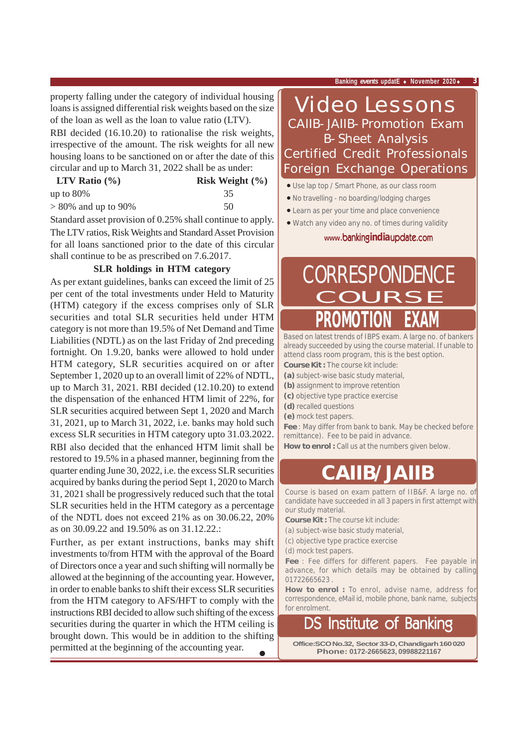property falling under the category of individual housing loans is assigned differential risk weights based on the size of the loan as well as the loan to value ratio (LTV).

RBI decided (16.10.20) to rationalise the risk weights, irrespective of the amount. The risk weights for all new housing loans to be sanctioned on or after the date of this circular and up to March 31, 2022 shall be as under:

| LTV Ratio $(\% )$      | Risk Weight $(\% )$ |
|------------------------|---------------------|
| up to $80\%$           | 35                  |
| $> 80\%$ and up to 90% | 50                  |

Standard asset provision of 0.25% shall continue to apply. The LTV ratios, Risk Weights and Standard Asset Provision for all loans sanctioned prior to the date of this circular shall continue to be as prescribed on 7.6.2017.

### **SLR holdings in HTM category**

As per extant guidelines, banks can exceed the limit of 25 per cent of the total investments under Held to Maturity (HTM) category if the excess comprises only of SLR securities and total SLR securities held under HTM category is not more than 19.5% of Net Demand and Time Liabilities (NDTL) as on the last Friday of 2nd preceding fortnight. On 1.9.20, banks were allowed to hold under HTM category, SLR securities acquired on or after September 1, 2020 up to an overall limit of 22% of NDTL, up to March 31, 2021. RBI decided (12.10.20) to extend the dispensation of the enhanced HTM limit of 22%, for SLR securities acquired between Sept 1, 2020 and March 31, 2021, up to March 31, 2022, i.e. banks may hold such excess SLR securities in HTM category upto 31.03.2022. RBI also decided that the enhanced HTM limit shall be restored to 19.5% in a phased manner, beginning from the quarter ending June 30, 2022, i.e. the excess SLR securities acquired by banks during the period Sept 1, 2020 to March 31, 2021 shall be progressively reduced such that the total SLR securities held in the HTM category as a percentage of the NDTL does not exceed 21% as on 30.06.22, 20% as on 30.09.22 and 19.50% as on 31.12.22.:

Further, as per extant instructions, banks may shift investments to/from HTM with the approval of the Board of Directors once a year and such shifting will normally be allowed at the beginning of the accounting year. However, in order to enable banks to shift their excess SLR securities from the HTM category to AFS/HFT to comply with the instructions RBI decided to allow such shifting of the excess securities during the quarter in which the HTM ceiling is brought down. This would be in addition to the shifting permitted at the beginning of the accounting year.

## Video Lessons CAIIB-JAIIB-Promotion Exam B-Sheet Analysis Certified Credit Professionals Foreign Exchange Operations

- Use lap top / Smart Phone, as our class room
- No travelling no boarding/lodging charges
- Learn as per your time and place convenience
- Watch any video any no. of times during validity

**www.**banking**india**update.com

# **PROMOTION EXAM CORRESPONDENCE**

Based on latest trends of IBPS exam. A large no. of bankers already succeeded by using the course material. If unable to attend class room program, this is the best option.

- **Course Kit :** The course kit include: **(a)** subject-wise basic study material,
- **(b)** assignment to improve retention
- **(c)** objective type practice exercise
- **(d)** recalled questions
- **(e)** mock test papers.

**Fee** : May differ from bank to bank. May be checked before remittance). Fee to be paid in advance.

How to enrol : Call us at the numbers given below.

# **CAIIB/JAIIB**

Course is based on exam pattern of IIB&F. A large no. of candidate have succeeded in all 3 papers in first attempt with our study material.

**Course Kit :** The course kit include:

- (a) subject-wise basic study material,
- (c) objective type practice exercise

(d) mock test papers.

**Fee** : Fee differs for different papers. Fee payable in advance, for which details may be obtained by calling 01722665623 .

**How to enrol :** To enrol, advise name, address for correspondence, eMail id, mobile phone, bank name, subjects for enrolment.

# DS Institute of Banking

**Office:SCO No.32, Sector 33-D, Chandigarh 160 020 Phone: 0172-2665623, 09988221167**

•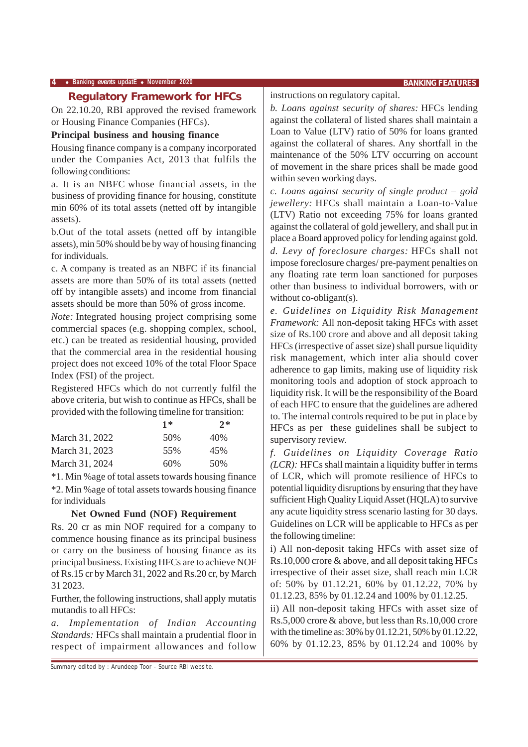### **Regulatory Framework for HFCs**

On 22.10.20, RBI approved the revised framework or Housing Finance Companies (HFCs).

### **Principal business and housing finance**

Housing finance company is a company incorporated under the Companies Act, 2013 that fulfils the following conditions:

a. It is an NBFC whose financial assets, in the business of providing finance for housing, constitute min 60% of its total assets (netted off by intangible assets).

b.Out of the total assets (netted off by intangible assets), min 50% should be by way of housing financing for individuals.

c. A company is treated as an NBFC if its financial assets are more than 50% of its total assets (netted off by intangible assets) and income from financial assets should be more than 50% of gross income.

*Note:* Integrated housing project comprising some commercial spaces (e.g. shopping complex, school, etc.) can be treated as residential housing, provided that the commercial area in the residential housing project does not exceed 10% of the total Floor Space Index (FSI) of the project.

Registered HFCs which do not currently fulfil the above criteria, but wish to continue as HFCs, shall be provided with the following timeline for transition:

| $1*$ | $2*$ |
|------|------|
| 50%  | 40\% |
| 55%  | 45%  |
| 60%  | 50%  |
|      |      |

\*1. Min %age of total assets towards housing finance \*2. Min %age of total assets towards housing finance for individuals

### **Net Owned Fund (NOF) Requirement**

Rs. 20 cr as min NOF required for a company to commence housing finance as its principal business or carry on the business of housing finance as its principal business. Existing HFCs are to achieve NOF of Rs.15 cr by March 31, 2022 and Rs.20 cr, by March 31 2023.

Further, the following instructions, shall apply mutatis mutandis to all HFCs:

*a. Implementation of Indian Accounting Standards:* HFCs shall maintain a prudential floor in respect of impairment allowances and follow

Summary edited by : Arundeep Toor - Source RBI website.

instructions on regulatory capital.

*b. Loans against security of shares:* HFCs lending against the collateral of listed shares shall maintain a Loan to Value (LTV) ratio of 50% for loans granted against the collateral of shares. Any shortfall in the maintenance of the 50% LTV occurring on account of movement in the share prices shall be made good within seven working days.

*c. Loans against security of single product – gold jewellery:* HFCs shall maintain a Loan-to-Value (LTV) Ratio not exceeding 75% for loans granted against the collateral of gold jewellery, and shall put in place a Board approved policy for lending against gold. *d. Levy of foreclosure charges:* HFCs shall not impose foreclosure charges/ pre-payment penalties on any floating rate term loan sanctioned for purposes other than business to individual borrowers, with or without co-obligant(s).

*e. Guidelines on Liquidity Risk Management Framework:* All non-deposit taking HFCs with asset size of Rs.100 crore and above and all deposit taking HFCs (irrespective of asset size) shall pursue liquidity risk management, which inter alia should cover adherence to gap limits, making use of liquidity risk monitoring tools and adoption of stock approach to liquidity risk. It will be the responsibility of the Board of each HFC to ensure that the guidelines are adhered to. The internal controls required to be put in place by HFCs as per these guidelines shall be subject to supervisory review.

*f. Guidelines on Liquidity Coverage Ratio (LCR):* HFCs shall maintain a liquidity buffer in terms of LCR, which will promote resilience of HFCs to potential liquidity disruptions by ensuring that they have sufficient High Quality Liquid Asset (HQLA) to survive any acute liquidity stress scenario lasting for 30 days. Guidelines on LCR will be applicable to HFCs as per the following timeline:

i) All non-deposit taking HFCs with asset size of Rs.10,000 crore & above, and all deposit taking HFCs irrespective of their asset size, shall reach min LCR of: 50% by 01.12.21, 60% by 01.12.22, 70% by 01.12.23, 85% by 01.12.24 and 100% by 01.12.25.

ii) All non-deposit taking HFCs with asset size of Rs.5,000 crore & above, but less than Rs.10,000 crore with the timeline as: 30% by 01.12.21, 50% by 01.12.22, 60% by 01.12.23, 85% by 01.12.24 and 100% by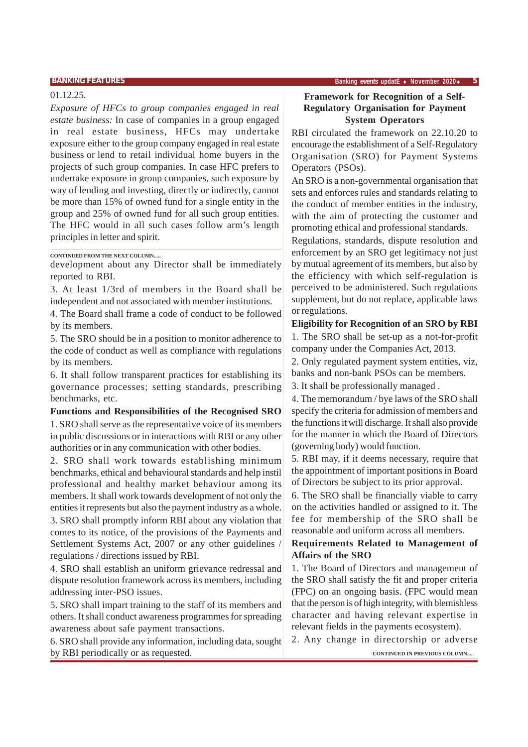### 01.12.25.

*Exposure of HFCs to group companies engaged in real estate business:* In case of companies in a group engaged in real estate business, HFCs may undertake exposure either to the group company engaged in real estate business or lend to retail individual home buyers in the projects of such group companies. In case HFC prefers to undertake exposure in group companies, such exposure by way of lending and investing, directly or indirectly, cannot be more than 15% of owned fund for a single entity in the group and 25% of owned fund for all such group entities. The HFC would in all such cases follow arm's length principles in letter and spirit.

### **CONTINUED FROM THE NEXT COLUMN.....**

development about any Director shall be immediately reported to RBI.

3. At least 1/3rd of members in the Board shall be independent and not associated with member institutions.

4. The Board shall frame a code of conduct to be followed by its members.

5. The SRO should be in a position to monitor adherence to the code of conduct as well as compliance with regulations by its members.

6. It shall follow transparent practices for establishing its governance processes; setting standards, prescribing benchmarks, etc.

### **Functions and Responsibilities of the Recognised SRO**

1. SRO shall serve as the representative voice of its members in public discussions or in interactions with RBI or any other authorities or in any communication with other bodies.

2. SRO shall work towards establishing minimum benchmarks, ethical and behavioural standards and help instil professional and healthy market behaviour among its members. It shall work towards development of not only the entities it represents but also the payment industry as a whole. 3. SRO shall promptly inform RBI about any violation that comes to its notice, of the provisions of the Payments and Settlement Systems Act, 2007 or any other guidelines regulations / directions issued by RBI.

4. SRO shall establish an uniform grievance redressal and dispute resolution framework across its members, including addressing inter-PSO issues.

5. SRO shall impart training to the staff of its members and others. It shall conduct awareness programmes for spreading awareness about safe payment transactions.

6. SRO shall provide any information, including data, sought by RBI periodically or as requested. **CONTINUED IN PREVIOUS COLUMN....** 

### **Framework for Recognition of a Self-Regulatory Organisation for Payment System Operators**

RBI circulated the framework on 22.10.20 to encourage the establishment of a Self-Regulatory Organisation (SRO) for Payment Systems Operators (PSOs).

An SRO is a non-governmental organisation that sets and enforces rules and standards relating to the conduct of member entities in the industry, with the aim of protecting the customer and promoting ethical and professional standards.

Regulations, standards, dispute resolution and enforcement by an SRO get legitimacy not just by mutual agreement of its members, but also by the efficiency with which self-regulation is perceived to be administered. Such regulations supplement, but do not replace, applicable laws or regulations.

**Eligibility for Recognition of an SRO by RBI**

1. The SRO shall be set-up as a not-for-profit company under the Companies Act, 2013.

2. Only regulated payment system entities, viz, banks and non-bank PSOs can be members.

3. It shall be professionally managed .

4. The memorandum / bye laws of the SRO shall specify the criteria for admission of members and the functions it will discharge. It shall also provide for the manner in which the Board of Directors (governing body) would function.

5. RBI may, if it deems necessary, require that the appointment of important positions in Board of Directors be subject to its prior approval.

6. The SRO shall be financially viable to carry on the activities handled or assigned to it. The fee for membership of the SRO shall be reasonable and uniform across all members.

### **Requirements Related to Management of Affairs of the SRO**

1. The Board of Directors and management of the SRO shall satisfy the fit and proper criteria (FPC) on an ongoing basis. (FPC would mean that the person is of high integrity, with blemishless character and having relevant expertise in relevant fields in the payments ecosystem).

2. Any change in directorship or adverse

**BANKING FEATURES Banking** *events* **updatE** ♦ **November 2020**♦ **5**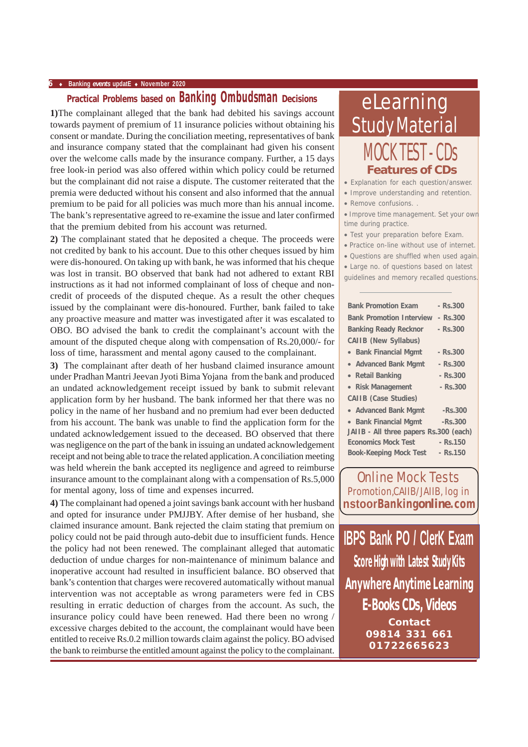### **6** ♦ **Banking** *events* **updatE** ♦ **November 2020**

### **Practical Problems based on Banking Ombudsman Decisions**

**1)**The complainant alleged that the bank had debited his savings account towards payment of premium of 11 insurance policies without obtaining his consent or mandate. During the conciliation meeting, representatives of bank and insurance company stated that the complainant had given his consent over the welcome calls made by the insurance company. Further, a 15 days free look-in period was also offered within which policy could be returned but the complainant did not raise a dispute. The customer reiterated that the premia were deducted without his consent and also informed that the annual premium to be paid for all policies was much more than his annual income. The bank's representative agreed to re-examine the issue and later confirmed that the premium debited from his account was returned.

**2)** The complainant stated that he deposited a cheque. The proceeds were not credited by bank to his account. Due to this other cheques issued by him were dis-honoured. On taking up with bank, he was informed that his cheque was lost in transit. BO observed that bank had not adhered to extant RBI instructions as it had not informed complainant of loss of cheque and noncredit of proceeds of the disputed cheque. As a result the other cheques issued by the complainant were dis-honoured. Further, bank failed to take any proactive measure and matter was investigated after it was escalated to OBO. BO advised the bank to credit the complainant's account with the amount of the disputed cheque along with compensation of Rs.20,000/- for loss of time, harassment and mental agony caused to the complainant.

**3)** The complainant after death of her husband claimed insurance amount under Pradhan Mantri Jeevan Jyoti Bima Yojana from the bank and produced an undated acknowledgement receipt issued by bank to submit relevant application form by her husband. The bank informed her that there was no policy in the name of her husband and no premium had ever been deducted from his account. The bank was unable to find the application form for the undated acknowledgement issued to the deceased. BO observed that there was negligence on the part of the bank in issuing an undated acknowledgement receipt and not being able to trace the related application. A conciliation meeting was held wherein the bank accepted its negligence and agreed to reimburse insurance amount to the complainant along with a compensation of Rs.5,000 for mental agony, loss of time and expenses incurred.

**4)** The complainant had opened a joint savings bank account with her husband and opted for insurance under PMJJBY. After demise of her husband, she claimed insurance amount. Bank rejected the claim stating that premium on policy could not be paid through auto-debit due to insufficient funds. Hence the policy had not been renewed. The complainant alleged that automatic deduction of undue charges for non-maintenance of minimum balance and inoperative account had resulted in insufficient balance. BO observed that bank's contention that charges were recovered automatically without manual intervention was not acceptable as wrong parameters were fed in CBS resulting in erratic deduction of charges from the account. As such, the insurance policy could have been renewed. Had there been no wrong / excessive charges debited to the account, the complainant would have been entitled to receive Rs.0.2 million towards claim against the policy. BO advised the bank to reimburse the entitled amount against the policy to the complainant.

# eLearning Study Material MOCK TEST - CDs **Features of CDs**

• Explanation for each question/answer.

- Improve understanding and retention.
- Remove confusions. .

• Improve time management. Set your own time during practice.

- Test your preparation before Exam.
- Practice on-line without use of internet.
- Questions are shuffled when used again.
- Large no. of questions based on latest guidelines and memory recalled questions.

| galacilités and montory recalled gaestions |            |
|--------------------------------------------|------------|
| <b>Bank Promotion Exam</b>                 | - Rs.300   |
| <b>Bank Promotion Interview</b>            | $-$ Rs.300 |
| <b>Banking Ready Recknor</b>               | $-$ Rs.300 |
| <b>CAIIB (New Syllabus)</b>                |            |
| • Bank Financial Mgmt                      | $-Rs.300$  |
| • Advanced Bank Mgmt                       | $-Rs.300$  |
| • Retail Banking                           | $-$ Rs.300 |
| • Risk Management                          | $-$ Rs.300 |
| $OMID (O0, O0, C1, J1, O0)$                |            |

| <b>UNIID (UASC JUBICS)</b>              |           |  |  |  |  |  |
|-----------------------------------------|-----------|--|--|--|--|--|
| • Advanced Bank Mgmt                    | $-Rs.300$ |  |  |  |  |  |
| • Bank Financial Mgmt<br>$-Rs.300$      |           |  |  |  |  |  |
| JAIIB - All three papers Rs.300 (each)  |           |  |  |  |  |  |
| <b>Economics Mock Test</b><br>$-Rs.150$ |           |  |  |  |  |  |
| <b>Book-Keeping Mock Test</b>           | $-Rs.150$ |  |  |  |  |  |

Online Mock Tests Promotion,CAIIB/JAIIB, log in **nstoorBanking***online***.com**

**IBPS Bank PO / ClerK Exam Score High with Latest Study Kits E-Books CDs, Videos Contact 09814 331 661 01722665623 Anywhere Anytime Learning**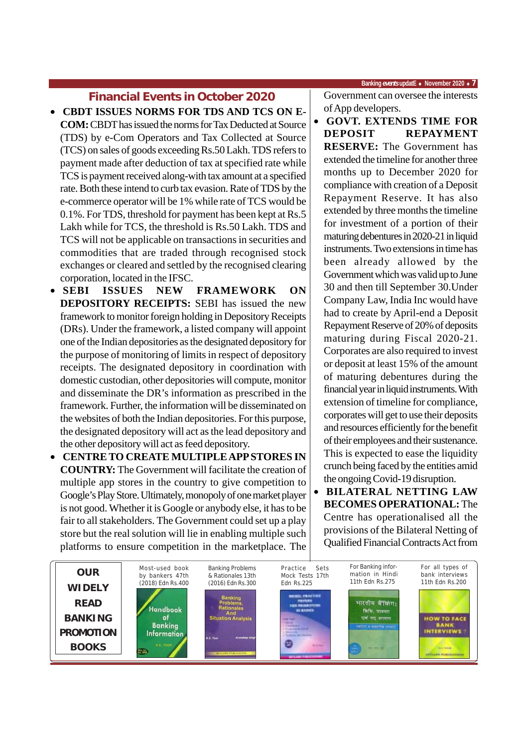### **Financial Events in October 2020**

- **CBDT ISSUES NORMS FOR TDS AND TCS ON E-COM:** CBDT has issued the norms for Tax Deducted at Source (TDS) by e-Com Operators and Tax Collected at Source (TCS) on sales of goods exceeding Rs.50 Lakh. TDS refers to payment made after deduction of tax at specified rate while TCS is payment received along-with tax amount at a specified rate. Both these intend to curb tax evasion. Rate of TDS by the e-commerce operator will be 1% while rate of TCS would be 0.1%. For TDS, threshold for payment has been kept at Rs.5 Lakh while for TCS, the threshold is Rs.50 Lakh. TDS and TCS will not be applicable on transactions in securities and commodities that are traded through recognised stock exchanges or cleared and settled by the recognised clearing corporation, located in the IFSC.
- **SEBI ISSUES NEW FRAMEWORK ON DEPOSITORY RECEIPTS:** SEBI has issued the new framework to monitor foreign holding in Depository Receipts (DRs). Under the framework, a listed company will appoint one of the Indian depositories as the designated depository for the purpose of monitoring of limits in respect of depository receipts. The designated depository in coordination with domestic custodian, other depositories will compute, monitor and disseminate the DR's information as prescribed in the framework. Further, the information will be disseminated on the websites of both the Indian depositories. For this purpose, the designated depository will act as the lead depository and the other depository will act as feed depository.
- **CENTRE TO CREATE MULTIPLE APP STORES IN COUNTRY:** The Government will facilitate the creation of multiple app stores in the country to give competition to Google's Play Store. Ultimately, monopoly of one market player is not good. Whether it is Google or anybody else, it has to be fair to all stakeholders. The Government could set up a play store but the real solution will lie in enabling multiple such platforms to ensure competition in the marketplace. The

 **Banking** *events* **updatE** ♦ **November 2020** ♦ **7**

Government can oversee the interests of App developers.

- **GOVT. EXTENDS TIME FOR DEPOSIT REPAYMENT RESERVE:** The Government has extended the timeline for another three months up to December 2020 for compliance with creation of a Deposit Repayment Reserve. It has also extended by three months the timeline for investment of a portion of their maturing debentures in 2020-21 in liquid instruments. Two extensions in time has been already allowed by the Government which was valid up to June 30 and then till September 30.Under Company Law, India Inc would have had to create by April-end a Deposit Repayment Reserve of 20% of deposits maturing during Fiscal 2020-21. Corporates are also required to invest or deposit at least 15% of the amount of maturing debentures during the financial year in liquid instruments. With extension of timeline for compliance, corporates will get to use their deposits and resources efficiently for the benefit of their employees and their sustenance. This is expected to ease the liquidity crunch being faced by the entities amid the ongoing Covid-19 disruption.
- **BILATERAL NETTING LAW BECOMES OPERATIONAL:** The Centre has operationalised all the provisions of the Bilateral Netting of Qualified Financial Contracts Act from

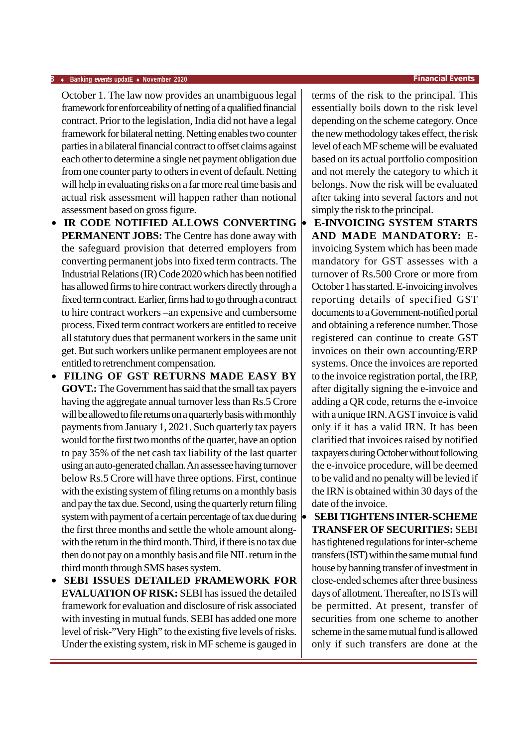### **8** ♦ **Banking** *events* **updatE** ♦ **November 2020 Financial Events**

October 1. The law now provides an unambiguous legal framework for enforceability of netting of a qualified financial contract. Prior to the legislation, India did not have a legal framework for bilateral netting. Netting enables two counter parties in a bilateral financial contract to offset claims against each other to determine a single net payment obligation due from one counter party to others in event of default. Netting will help in evaluating risks on a far more real time basis and actual risk assessment will happen rather than notional assessment based on gross figure.

- **IR CODE NOTIFIED ALLOWS CONVERTING PERMANENT JOBS:** The Centre has done away with the safeguard provision that deterred employers from converting permanent jobs into fixed term contracts. The Industrial Relations (IR) Code 2020 which has been notified has allowed firms to hire contract workers directly through a fixed term contract. Earlier, firms had to go through a contract to hire contract workers –an expensive and cumbersome process. Fixed term contract workers are entitled to receive all statutory dues that permanent workers in the same unit get. But such workers unlike permanent employees are not entitled to retrenchment compensation.
- **FILING OF GST RETURNS MADE EASY BY GOVT.:** The Government has said that the small tax payers having the aggregate annual turnover less than Rs.5 Crore will be allowed to file returns on a quarterly basis with monthly payments from January 1, 2021. Such quarterly tax payers would for the first two months of the quarter, have an option to pay 35% of the net cash tax liability of the last quarter using an auto-generated challan. An assessee having turnover below Rs.5 Crore will have three options. First, continue with the existing system of filing returns on a monthly basis and pay the tax due. Second, using the quarterly return filing system with payment of a certain percentage of tax due during the first three months and settle the whole amount alongwith the return in the third month. Third, if there is no tax due then do not pay on a monthly basis and file NIL return in the third month through SMS bases system.
- **SEBI ISSUES DETAILED FRAMEWORK FOR EVALUATION OF RISK:** SEBI has issued the detailed framework for evaluation and disclosure of risk associated with investing in mutual funds. SEBI has added one more level of risk-"Very High" to the existing five levels of risks. Under the existing system, risk in MF scheme is gauged in

terms of the risk to the principal. This essentially boils down to the risk level depending on the scheme category. Once the new methodology takes effect, the risk level of each MF scheme will be evaluated based on its actual portfolio composition and not merely the category to which it belongs. Now the risk will be evaluated after taking into several factors and not simply the risk to the principal.

- **E-INVOICING SYSTEM STARTS AND MADE MANDATORY:** Einvoicing System which has been made mandatory for GST assesses with a turnover of Rs.500 Crore or more from October 1 has started. E-invoicing involves reporting details of specified GST documents to a Government-notified portal and obtaining a reference number. Those registered can continue to create GST invoices on their own accounting/ERP systems. Once the invoices are reported to the invoice registration portal, the IRP, after digitally signing the e-invoice and adding a QR code, returns the e-invoice with a unique IRN. A GST invoice is valid only if it has a valid IRN. It has been clarified that invoices raised by notified taxpayers during October without following the e-invoice procedure, will be deemed to be valid and no penalty will be levied if the IRN is obtained within 30 days of the date of the invoice.
- **SEBI TIGHTENS INTER-SCHEME TRANSFER OF SECURITIES:** SEBI has tightened regulations for inter-scheme transfers (IST) within the same mutual fund house by banning transfer of investment in close-ended schemes after three business days of allotment. Thereafter, no ISTs will be permitted. At present, transfer of securities from one scheme to another scheme in the same mutual fund is allowed only if such transfers are done at the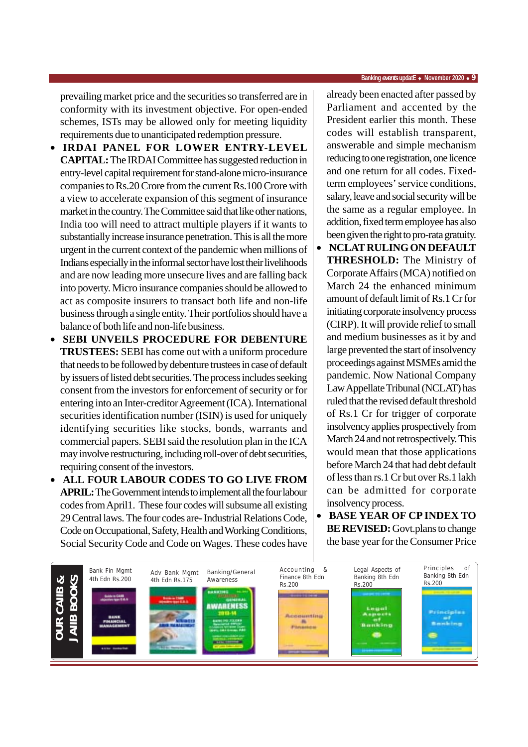prevailing market price and the securities so transferred are in conformity with its investment objective. For open-ended schemes, ISTs may be allowed only for meeting liquidity requirements due to unanticipated redemption pressure.

- **IRDAI PANEL FOR LOWER ENTRY-LEVEL CAPITAL:** The IRDAI Committee has suggested reduction in entry-level capital requirement for stand-alone micro-insurance companies to Rs.20 Crore from the current Rs.100 Crore with a view to accelerate expansion of this segment of insurance market in the country. The Committee said that like other nations, India too will need to attract multiple players if it wants to substantially increase insurance penetration. This is all the more urgent in the current context of the pandemic when millions of Indians especially in the informal sector have lost their livelihoods and are now leading more unsecure lives and are falling back into poverty. Micro insurance companies should be allowed to act as composite insurers to transact both life and non-life business through a single entity. Their portfolios should have a balance of both life and non-life business.
- **SEBI UNVEILS PROCEDURE FOR DEBENTURE TRUSTEES:** SEBI has come out with a uniform procedure that needs to be followed by debenture trustees in case of default by issuers of listed debt securities. The process includes seeking consent from the investors for enforcement of security or for entering into an Inter-creditor Agreement (ICA). International securities identification number (ISIN) is used for uniquely identifying securities like stocks, bonds, warrants and commercial papers. SEBI said the resolution plan in the ICA may involve restructuring, including roll-over of debt securities, requiring consent of the investors.
- **ALL FOUR LABOUR CODES TO GO LIVE FROM APRIL:** The Government intends to implement all the four labour codes from April1. These four codes will subsume all existing 29 Central laws. The four codes are- Industrial Relations Code, Code on Occupational, Safety, Health and Working Conditions, Social Security Code and Code on Wages. These codes have

already been enacted after passed by Parliament and accented by the President earlier this month. These codes will establish transparent, answerable and simple mechanism reducing to one registration, one licence and one return for all codes. Fixedterm employees' service conditions, salary, leave and social security will be the same as a regular employee. In addition, fixed term employee has also been given the right to pro-rata gratuity.

- **NCLAT RULING ON DEFAULT THRESHOLD:** The Ministry of Corporate Affairs (MCA) notified on March 24 the enhanced minimum amount of default limit of Rs.1 Cr for initiating corporate insolvency process (CIRP). It will provide relief to small and medium businesses as it by and large prevented the start of insolvency proceedings against MSMEs amid the pandemic. Now National Company Law Appellate Tribunal (NCLAT) has ruled that the revised default threshold of Rs.1 Cr for trigger of corporate insolvency applies prospectively from March 24 and not retrospectively. This would mean that those applications before March 24 that had debt default of less than rs.1 Cr but over Rs.1 lakh can be admitted for corporate insolvency process.
- **BASE YEAR OF CP INDEX TO BE REVISED:** Govt.plans to change the base year for the Consumer Price

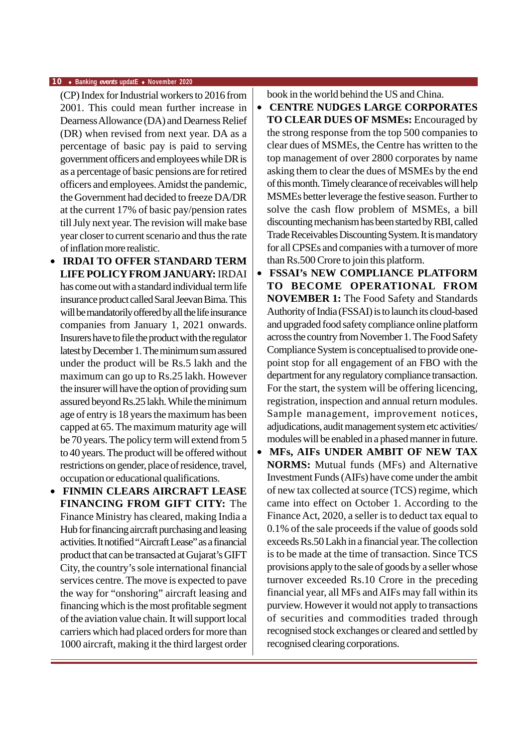### **10** ♦ **Banking** *events* **updatE** ♦ **November 2020**

(CP) Index for Industrial workers to 2016 from 2001. This could mean further increase in Dearness Allowance (DA) and Dearness Relief (DR) when revised from next year. DA as a percentage of basic pay is paid to serving government officers and employees while DR is as a percentage of basic pensions are for retired officers and employees. Amidst the pandemic, the Government had decided to freeze DA/DR at the current 17% of basic pay/pension rates till July next year. The revision will make base year closer to current scenario and thus the rate of inflation more realistic.

- **IRDAI TO OFFER STANDARD TERM LIFE POLICY FROM JANUARY:** IRDAI has come out with a standard individual term life insurance product called Saral Jeevan Bima. This will be mandatorily offered by all the life insurance companies from January 1, 2021 onwards. Insurers have to file the product with the regulator latest by December 1. The minimum sum assured under the product will be Rs.5 lakh and the maximum can go up to Rs.25 lakh. However the insurer will have the option of providing sum assured beyond Rs.25 lakh. While the minimum age of entry is 18 years the maximum has been capped at 65. The maximum maturity age will be 70 years. The policy term will extend from 5 to 40 years. The product will be offered without restrictions on gender, place of residence, travel, occupation or educational qualifications.
- **FINMIN CLEARS AIRCRAFT LEASE FINANCING FROM GIFT CITY:** The Finance Ministry has cleared, making India a Hub for financing aircraft purchasing and leasing activities. It notified "Aircraft Lease" as a financial product that can be transacted at Gujarat's GIFT City, the country's sole international financial services centre. The move is expected to pave the way for "onshoring" aircraft leasing and financing which is the most profitable segment of the aviation value chain. It will support local carriers which had placed orders for more than 1000 aircraft, making it the third largest order

book in the world behind the US and China.

- **CENTRE NUDGES LARGE CORPORATES TO CLEAR DUES OF MSMEs:** Encouraged by the strong response from the top 500 companies to clear dues of MSMEs, the Centre has written to the top management of over 2800 corporates by name asking them to clear the dues of MSMEs by the end of this month. Timely clearance of receivables will help MSMEs better leverage the festive season. Further to solve the cash flow problem of MSMEs, a bill discounting mechanism has been started by RBI, called Trade Receivables Discounting System. It is mandatory for all CPSEs and companies with a turnover of more than Rs.500 Crore to join this platform.
- **FSSAI's NEW COMPLIANCE PLATFORM TO BECOME OPERATIONAL FROM NOVEMBER 1:** The Food Safety and Standards Authority of India (FSSAI) is to launch its cloud-based and upgraded food safety compliance online platform across the country from November 1. The Food Safety Compliance System is conceptualised to provide onepoint stop for all engagement of an FBO with the department for any regulatory compliance transaction. For the start, the system will be offering licencing, registration, inspection and annual return modules. Sample management, improvement notices, adjudications, audit management system etc activities/ modules will be enabled in a phased manner in future.
- **MFs, AIFs UNDER AMBIT OF NEW TAX NORMS:** Mutual funds (MFs) and Alternative Investment Funds (AIFs) have come under the ambit of new tax collected at source (TCS) regime, which came into effect on October 1. According to the Finance Act, 2020, a seller is to deduct tax equal to 0.1% of the sale proceeds if the value of goods sold exceeds Rs.50 Lakh in a financial year. The collection is to be made at the time of transaction. Since TCS provisions apply to the sale of goods by a seller whose turnover exceeded Rs.10 Crore in the preceding financial year, all MFs and AIFs may fall within its purview. However it would not apply to transactions of securities and commodities traded through recognised stock exchanges or cleared and settled by recognised clearing corporations.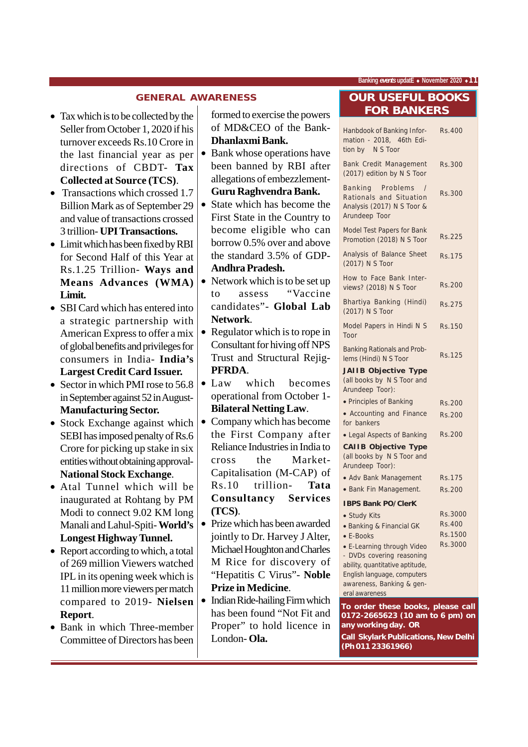### **GENERAL AWARENESS**

- Tax which is to be collected by the Seller from October 1, 2020 if his turnover exceeds Rs.10 Crore in the last financial year as per directions of CBDT- **Tax Collected at Source (TCS)**.
- Transactions which crossed 1.7 Billion Mark as of September 29 and value of transactions crossed 3 trillion- **UPI Transactions.**
- Limit which has been fixed by RBI for Second Half of this Year at Rs.1.25 Trillion- **Ways and Means Advances (WMA) Limit.**
- SBI Card which has entered into a strategic partnership with American Express to offer a mix of global benefits and privileges for consumers in India- **India's Largest Credit Card Issuer.**
- Sector in which PMI rose to 56.8 in September against 52 in August-**Manufacturing Sector.**
- Stock Exchange against which SEBI has imposed penalty of Rs.6 Crore for picking up stake in six entities without obtaining approval-**National Stock Exchange**.
- Atal Tunnel which will be inaugurated at Rohtang by PM Modi to connect 9.02 KM long Manali and Lahul-Spiti- **World's Longest Highway Tunnel.**
- Report according to which, a total of 269 million Viewers watched IPL in its opening week which is 11 million more viewers per match compared to 2019- **Nielsen Report**.
- Bank in which Three-member Committee of Directors has been

formed to exercise the powers of MD&CEO of the Bank-**Dhanlaxmi Bank.**

- Bank whose operations have been banned by RBI after allegations of embezzlement-**Guru Raghvendra Bank.**
- State which has become the First State in the Country to become eligible who can borrow 0.5% over and above the standard 3.5% of GDP-**Andhra Pradesh.**
- Network which is to be set up to assess "Vaccine candidates"- **Global Lab Network**.
- Regulator which is to rope in Consultant for hiving off NPS Trust and Structural Rejig-**PFRDA**.
- Law which becomes operational from October 1- **Bilateral Netting Law**.
- Company which has become the First Company after Reliance Industries in India to cross the Market-Capitalisation (M-CAP) of Rs.10 trillion- **Tata Consultancy Services (TCS)**.
- Prize which has been awarded jointly to Dr. Harvey J Alter, Michael Houghton and Charles M Rice for discovery of "Hepatitis C Virus"- **Noble Prize in Medicine**.
- Indian Ride-hailing Firm which has been found "Not Fit and Proper" to hold licence in London- **Ola.**

### **OUR USEFUL BOOKS FOR BANKERS**

| Hanbdook of Banking Infor-<br>mation - 2018, 46th Edi-<br>tion by N S Toor                                                                                               | Rs.400        |
|--------------------------------------------------------------------------------------------------------------------------------------------------------------------------|---------------|
| Bank Credit Management<br>(2017) edition by N S Toor                                                                                                                     | <b>Rs.300</b> |
| <b>Banking</b> Problems<br>$\sqrt{ }$<br>Rationals and Situation<br>Analysis (2017) N S Toor &<br>Arundeep Toor                                                          | Rs.300        |
| Model Test Papers for Bank<br>Promotion (2018) N S Toor                                                                                                                  | Rs.225        |
| Analysis of Balance Sheet<br>(2017) N S Toor                                                                                                                             | Rs.175        |
| How to Face Bank Inter-<br>views? (2018) N S Toor                                                                                                                        | Rs.200        |
| Bhartiya Banking (Hindi)<br>(2017) N S Toor                                                                                                                              | Rs.275        |
| Model Papers in Hindi N S<br>Toor                                                                                                                                        | Rs.150        |
| <b>Banking Rationals and Prob-</b><br>lems (Hindi) N S Toor<br><b>JAIIB Objective Type</b><br>(all books by N S Toor and<br>Arundeep Toor):                              | <b>Rs.125</b> |
| • Principles of Banking                                                                                                                                                  | <b>Rs.200</b> |
| • Accounting and Finance                                                                                                                                                 | Rs.200        |
| for bankers                                                                                                                                                              |               |
| • Legal Aspects of Banking                                                                                                                                               | Rs.200        |
| <b>CAIIB Objective Type</b><br>(all books by N S Toor and<br>Arundeep Toor):                                                                                             |               |
| • Adv Bank Management                                                                                                                                                    | Rs.175        |
| · Bank Fin Management.                                                                                                                                                   | <b>Rs.200</b> |
| <b>IBPS Bank PO/ClerK</b>                                                                                                                                                |               |
| • Study Kits                                                                                                                                                             | Rs.3000       |
| • Banking & Financial GK                                                                                                                                                 | Rs.400        |
| • E-Books                                                                                                                                                                | Rs.1500       |
| • E-Learning through Video<br>- DVDs covering reasoning<br>ability, quantitative aptitude,<br>English language, computers<br>awareness, Banking & gen-<br>eral awareness | Rs.3000       |
| To order these books, please call                                                                                                                                        |               |
| 0172-2665623 (10 am to 6 pm) on                                                                                                                                          |               |

**any working day. OR Call Skylark Publications, New Delhi (Ph 011 23361966)**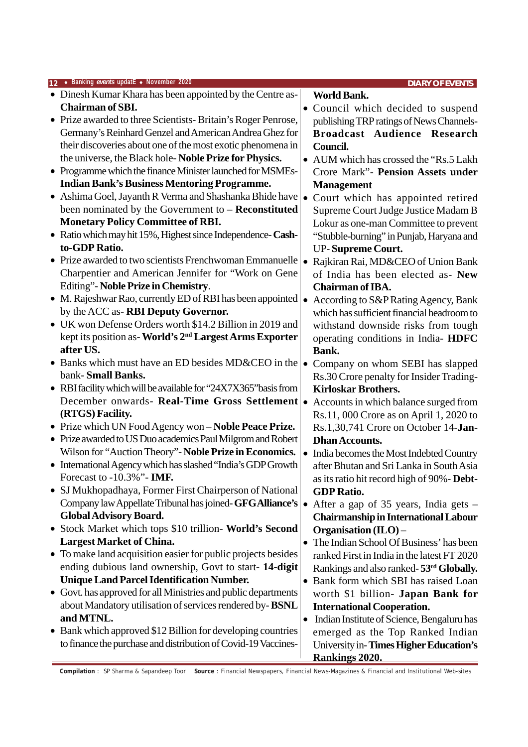| 12 • Banking events updatE • November 2020                         |           | <b>DIARY OF EVENTS</b>                              |
|--------------------------------------------------------------------|-----------|-----------------------------------------------------|
| • Dinesh Kumar Khara has been appointed by the Centre as-          |           | <b>World Bank.</b>                                  |
| <b>Chairman of SBI.</b>                                            |           | Council which decided to suspend                    |
| • Prize awarded to three Scientists-Britain's Roger Penrose,       |           | publishing TRP ratings of News Channels-            |
| Germany's Reinhard Genzel and American Andrea Ghez for             |           | Broadcast Audience Research                         |
| their discoveries about one of the most exotic phenomena in        |           | Council.                                            |
| the universe, the Black hole-Noble Prize for Physics.              |           | AUM which has crossed the "Rs.5 Lakh"               |
| • Programme which the finance Minister launched for MSMEs-         |           | <b>Crore Mark"- Pension Assets under</b>            |
| <b>Indian Bank's Business Mentoring Programme.</b>                 |           | <b>Management</b>                                   |
| • Ashima Goel, Jayanth R Verma and Shashanka Bhide have            |           | Court which has appointed retired                   |
| been nominated by the Government to - Reconstituted                |           | Supreme Court Judge Justice Madam B                 |
| <b>Monetary Policy Committee of RBI.</b>                           |           | Lokur as one-man Committee to prevent               |
| • Ratio which may hit 15%, Highest since Independence-Cash-        |           | "Stubble-burning" in Punjab, Haryana and            |
| to-GDP Ratio.                                                      |           | <b>UP-Supreme Court.</b>                            |
| • Prize awarded to two scientists Frenchwoman Emmanuelle           | $\bullet$ | Rajkiran Rai, MD&CEO of Union Bank                  |
| Charpentier and American Jennifer for "Work on Gene                |           | of India has been elected as- New                   |
| Editing"- Noble Prize in Chemistry.                                |           | <b>Chairman of IBA.</b>                             |
| • M. Rajeshwar Rao, currently ED of RBI has been appointed         |           | According to S&P Rating Agency, Bank                |
| by the ACC as-RBI Deputy Governor.                                 |           | which has sufficient financial headroom to          |
| • UK won Defense Orders worth \$14.2 Billion in 2019 and           |           | withstand downside risks from tough                 |
| kept its position as-World's 2 <sup>nd</sup> Largest Arms Exporter |           | operating conditions in India-HDFC                  |
| after US.                                                          |           | Bank.                                               |
| Banks which must have an ED besides MD&CEO in the                  | $\bullet$ | Company on whom SEBI has slapped                    |
| bank-Small Banks.                                                  |           | Rs.30 Crore penalty for Insider Trading-            |
| • RBI facility which will be available for "24X7X365" basis from   |           | <b>Kirloskar Brothers.</b>                          |
| December onwards- Real-Time Gross Settlement                       | $\bullet$ | Accounts in which balance surged from               |
| (RTGS) Facility.                                                   |           | Rs.11, 000 Crore as on April 1, 2020 to             |
| • Prize which UN Food Agency won - Noble Peace Prize.              |           | Rs.1,30,741 Crore on October 14-Jan-                |
| • Prize awarded to US Duo academics Paul Milgrom and Robert        |           | <b>Dhan Accounts.</b>                               |
| Wilson for "Auction Theory"- Noble Prize in Economics.             | $\bullet$ | India becomes the Most Indebted Country             |
| • International Agency which has slashed "India's GDP Growth       |           | after Bhutan and Sri Lanka in South Asia            |
| Forecast to -10.3%"- IMF.                                          |           | as its ratio hit record high of 90% - Debt-         |
| SJ Mukhopadhaya, Former First Chairperson of National              |           | <b>GDP Ratio.</b>                                   |
| Company law Appellate Tribunal has joined-GFGAlliance's            |           | After a gap of 35 years, India gets –               |
| <b>Global Advisory Board.</b>                                      |           | <b>Chairmanship in International Labour</b>         |
| • Stock Market which tops \$10 trillion- World's Second            |           | Organisation $(II.O)$ –                             |
| <b>Largest Market of China.</b>                                    |           | The Indian School Of Business' has been             |
| • To make land acquisition easier for public projects besides      |           | ranked First in India in the latest FT 2020         |
| ending dubious land ownership, Govt to start- 14-digit             |           | Rankings and also ranked-53 <sup>rd</sup> Globally. |
| <b>Unique Land Parcel Identification Number.</b>                   | $\bullet$ | Bank form which SBI has raised Loan                 |
| Govt. has approved for all Ministries and public departments       |           | worth \$1 billion- Japan Bank for                   |
| about Mandatory utilisation of services rendered by-BSNL           |           | <b>International Cooperation.</b>                   |
| and MTNL.                                                          | $\bullet$ | Indian Institute of Science, Bengaluru has          |
| • Bank which approved \$12 Billion for developing countries        |           | emerged as the Top Ranked Indian                    |
| to finance the purchase and distribution of Covid-19 Vaccines-     |           | University in-Times Higher Education's              |
|                                                                    |           | <b>Rankings 2020.</b>                               |

**Compilation** : SP Sharma & Sapandeep Toor **Source** : Financial Newspapers, Financial News-Magazines & Financial and Institutional Web-sites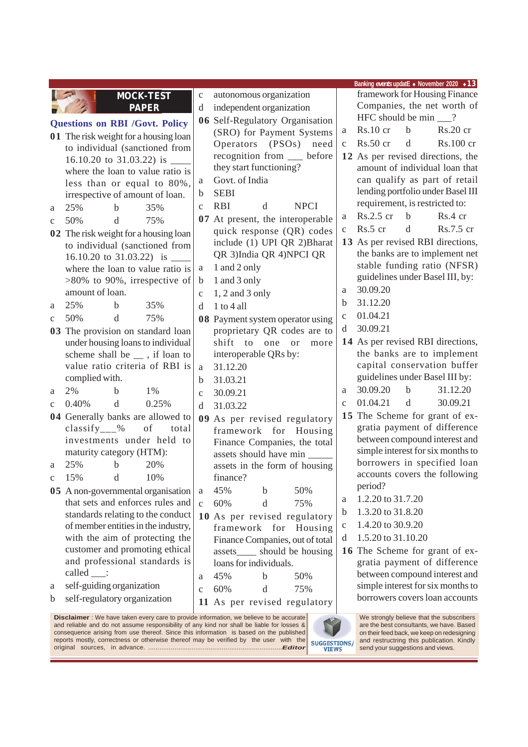|              |                              |             |                                                                                         |              |                   |                          |                                  |              |                                |             | Banking events updatE • November 2020 • 13                         |
|--------------|------------------------------|-------------|-----------------------------------------------------------------------------------------|--------------|-------------------|--------------------------|----------------------------------|--------------|--------------------------------|-------------|--------------------------------------------------------------------|
|              |                              |             | <b>MOCK-TEST</b>                                                                        | $\mathbf C$  |                   | autonomous organization  |                                  |              |                                |             | framework for Housing Finance                                      |
|              |                              |             | <b>PAPER</b>                                                                            | d            |                   | independent organization |                                  |              |                                |             | Companies, the net worth of                                        |
|              |                              |             | <b>Questions on RBI /Govt. Policy</b>                                                   |              |                   |                          | 06 Self-Regulatory Organisation  |              | HFC should be $min$ ___?       |             |                                                                    |
|              |                              |             | 01 The risk weight for a housing loan                                                   |              |                   |                          | (SRO) for Payment Systems        | a            | $Rs.10$ cr                     | $\mathbf b$ | Rs.20 cr                                                           |
|              |                              |             | to individual (sanctioned from                                                          |              |                   |                          | Operators (PSOs) need            | $\mathbf{C}$ | Rs.50 cr                       | d           | Rs.100 cr                                                          |
|              |                              |             | 16.10.20 to 31.03.22) is ______                                                         |              |                   |                          | recognition from __ before       |              |                                |             | 12 As per revised directions, the                                  |
|              |                              |             | where the loan to value ratio is                                                        |              |                   | they start functioning?  |                                  |              |                                |             | amount of individual loan that                                     |
|              |                              |             | less than or equal to 80%,                                                              | a            | Govt. of India    |                          |                                  |              |                                |             | can qualify as part of retail                                      |
|              |                              |             | irrespective of amount of loan.                                                         | b            | <b>SEBI</b>       |                          |                                  |              |                                |             | lending portfolio under Basel III                                  |
| a            | 25%                          | b           | 35%                                                                                     | $\mathbf{C}$ | <b>RBI</b>        | d                        | <b>NPCI</b>                      |              | requirement, is restricted to: |             |                                                                    |
| $\mathbf c$  | 50%                          | d           | 75%                                                                                     |              |                   |                          | 07 At present, the interoperable | a            | Rs.2.5 cr                      | $\mathbf b$ | Rs.4 cr                                                            |
|              |                              |             | 02 The risk weight for a housing loan                                                   |              |                   |                          | quick response (QR) codes        | $\mathbf{C}$ | Rs.5 cr                        | d           | Rs.7.5 cr                                                          |
|              |                              |             | to individual (sanctioned from                                                          |              |                   |                          | include (1) UPI QR 2)Bharat      |              |                                |             | 13 As per revised RBI directions,                                  |
|              |                              |             | 16.10.20 to 31.03.22) is $\_\_$                                                         |              |                   |                          | QR 3)India QR 4)NPCI QR          |              |                                |             | the banks are to implement net                                     |
|              |                              |             | where the loan to value ratio is                                                        | a            | 1 and 2 only      |                          |                                  |              |                                |             | stable funding ratio (NFSR)                                        |
|              |                              |             | $>80\%$ to 90%, irrespective of                                                         | $\mathbf b$  | 1 and 3 only      |                          |                                  |              |                                |             | guidelines under Basel III, by:                                    |
|              | amount of loan.              |             |                                                                                         | $\mathbf{C}$ | $1, 2$ and 3 only |                          |                                  | a            | 30.09.20                       |             |                                                                    |
| a            | 25%                          | b           | 35%                                                                                     | d            | 1 to 4 all        |                          |                                  | b            | 31.12.20                       |             |                                                                    |
| $\mathbf c$  | 50%                          | d           | 75%                                                                                     |              |                   |                          | 08 Payment system operator using | $\mathbf c$  | 01.04.21                       |             |                                                                    |
|              |                              |             | 03 The provision on standard loan                                                       |              |                   |                          | proprietary QR codes are to      | d            | 30.09.21                       |             |                                                                    |
|              |                              |             | under housing loans to individual                                                       |              | shift<br>to       | one                      | or<br>more                       |              |                                |             | 14 As per revised RBI directions,                                  |
|              |                              |             | scheme shall be __ , if loan to                                                         |              |                   | interoperable QRs by:    |                                  |              |                                |             | the banks are to implement                                         |
|              |                              |             | value ratio criteria of RBI is                                                          | $\rm{a}$     | 31.12.20          |                          |                                  |              |                                |             | capital conservation buffer                                        |
|              | complied with.               |             |                                                                                         | b            | 31.03.21          |                          |                                  |              |                                |             | guidelines under Basel III by:                                     |
| a            | 2%                           | b           | $1\%$                                                                                   | $\mathbf{C}$ | 30.09.21          |                          |                                  | a            | 30.09.20                       | $\mathbf b$ | 31.12.20                                                           |
| $\mathbf{C}$ | 0.40%                        | d           | 0.25%                                                                                   | d            | 31.03.22          |                          |                                  | $\mathbf{C}$ | 01.04.21                       | $\mathbf d$ | 30.09.21                                                           |
|              |                              |             | 04 Generally banks are allowed to                                                       |              |                   |                          | 09 As per revised regulatory     |              |                                |             | 15 The Scheme for grant of ex-                                     |
|              | classify $\frac{9}{2}$       |             | of<br>total                                                                             |              |                   |                          | framework for Housing            |              |                                |             | gratia payment of difference                                       |
|              |                              |             | investments under held to                                                               |              |                   |                          | Finance Companies, the total     |              |                                |             | between compound interest and                                      |
|              | maturity category (HTM):     |             |                                                                                         |              |                   | assets should have min   |                                  |              |                                |             | simple interest for six months to                                  |
| a            | 25%                          | $\mathbf b$ | 20%                                                                                     |              |                   |                          | assets in the form of housing    |              |                                |             | borrowers in specified loan                                        |
| C            | 15%                          | d           | 10%                                                                                     |              | finance?          |                          |                                  |              | period?                        |             | accounts covers the following                                      |
|              |                              |             | 05 A non-governmental organisation                                                      | a            | 45%               | b                        | 50%                              |              | 1.2.20 to 31.7.20              |             |                                                                    |
|              |                              |             | that sets and enforces rules and                                                        | $\mathbf{C}$ | 60%               | d                        | 75%                              | a            |                                |             |                                                                    |
|              |                              |             | standards relating to the conduct                                                       |              |                   |                          | 10 As per revised regulatory     | b            | 1.3.20 to 31.8.20              |             |                                                                    |
|              |                              |             | of member entities in the industry,                                                     |              |                   | framework for            | Housing                          | $\mathbf C$  | 1.4.20 to 30.9.20              |             |                                                                    |
|              |                              |             | with the aim of protecting the                                                          |              |                   |                          | Finance Companies, out of total  | d            | 1.5.20 to 31.10.20             |             |                                                                    |
|              |                              |             | customer and promoting ethical                                                          |              |                   |                          | assets_____ should be housing    |              |                                |             | 16 The Scheme for grant of ex-                                     |
|              | called $\_\$ :               |             | and professional standards is                                                           |              |                   | loans for individuals.   |                                  |              |                                |             | gratia payment of difference                                       |
|              | self-guiding organization    |             |                                                                                         | a            | 45%               | $\mathbf b$              | 50%                              |              |                                |             | between compound interest and<br>simple interest for six months to |
| a            | self-regulatory organization |             |                                                                                         | $\mathbf{C}$ | 60%               | d                        | 75%                              |              |                                |             | borrowers covers loan accounts                                     |
| b            |                              |             |                                                                                         |              |                   |                          | 11 As per revised regulatory     |              |                                |             |                                                                    |
|              |                              |             | Disclaimer : We have taken every care to provide information, we believe to be accurate |              |                   |                          |                                  |              |                                |             | We strongly believe that the subscribers                           |

and reliable and do not assume responsibility of any kind nor shall be liable for losses & consequence arising from use thereof. Since this information is based on the published SUGGESTIONS/<br>VIEWS reports mostly, correctness or otherwise thereof may be verified by the user with the original sources, in advance. .......................................................................*Editor*

are the best consultants, we have. Based on their feed back, we keep on redesigning and restructring this publication. Kindly send your suggestions and views.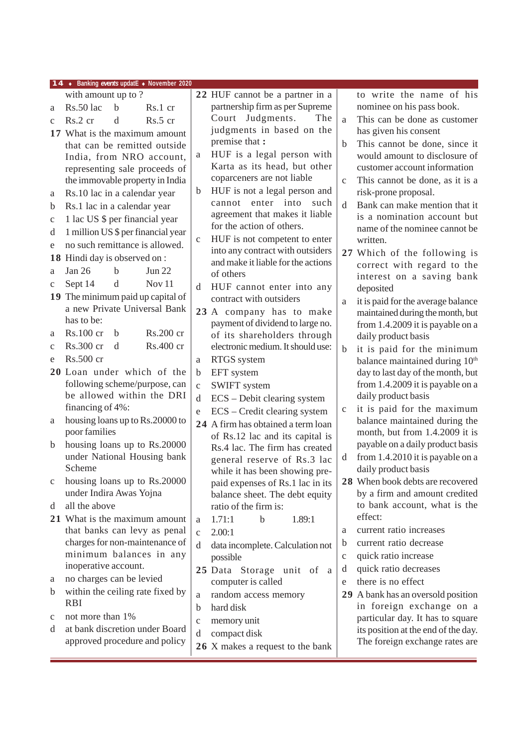|              | 14 • Banking events updatE • November 2020                    |                   |                                                                  |              |                                                                                 |
|--------------|---------------------------------------------------------------|-------------------|------------------------------------------------------------------|--------------|---------------------------------------------------------------------------------|
|              | with amount up to?                                            |                   | 22 HUF cannot be a partner in a                                  |              | to write the name of his                                                        |
| a            | $Rs.50$ lac<br>$\mathbf b$<br>Rs.1 cr                         |                   | partnership firm as per Supreme                                  |              | nominee on his pass book.                                                       |
| $\mathbf{C}$ | Rs.2 cr<br>d<br>Rs.5 cr                                       |                   | Court Judgments.<br>The                                          | a            | This can be done as customer                                                    |
|              | 17 What is the maximum amount                                 |                   | judgments in based on the                                        |              | has given his consent                                                           |
|              | that can be remitted outside                                  |                   | premise that :                                                   | $\mathbf b$  | This cannot be done, since it                                                   |
|              | India, from NRO account,                                      | a                 | HUF is a legal person with                                       |              | would amount to disclosure of                                                   |
|              | representing sale proceeds of                                 |                   | Karta as its head, but other                                     |              | customer account information                                                    |
|              | the immovable property in India                               |                   | coparceners are not liable                                       | $\mathbf{C}$ | This cannot be done, as it is a                                                 |
| a            | Rs.10 lac in a calendar year                                  | $\mathbf b$       | HUF is not a legal person and<br>enter into<br>such<br>cannot    |              | risk-prone proposal.                                                            |
| b            | Rs.1 lac in a calendar year                                   |                   | agreement that makes it liable                                   | <sub>d</sub> | Bank can make mention that it<br>is a nomination account but                    |
| $\mathbf C$  | 1 lac US \$ per financial year                                |                   | for the action of others.                                        |              | name of the nominee cannot be                                                   |
| d            | 1 million US \$ per financial year                            | $\mathbf C$       | HUF is not competent to enter                                    |              | written.                                                                        |
| e            | no such remittance is allowed.                                |                   | into any contract with outsiders                                 |              | 27 Which of the following is                                                    |
| 18           | Hindi day is observed on :                                    |                   | and make it liable for the actions                               |              | correct with regard to the                                                      |
| a            | Jan $26$<br>Jun 22<br>b                                       |                   | of others                                                        |              | interest on a saving bank                                                       |
| $\mathbf c$  | Sept 14<br>Nov <sub>11</sub><br>d                             | d                 | HUF cannot enter into any                                        |              | deposited                                                                       |
|              | 19 The minimum paid up capital of                             |                   | contract with outsiders                                          | a            | it is paid for the average balance                                              |
|              | a new Private Universal Bank<br>has to be:                    |                   | 23 A company has to make                                         |              | maintained during the month, but                                                |
| a            | Rs.200 cr<br>Rs.100 cr<br>b                                   |                   | payment of dividend to large no.                                 |              | from 1.4.2009 it is payable on a                                                |
| $\mathbf{C}$ | Rs.300 cr<br>Rs.400 cr<br>d                                   |                   | of its shareholders through<br>electronic medium. It should use: |              | daily product basis                                                             |
| e            | Rs.500 cr                                                     | a                 | RTGS system                                                      | b            | it is paid for the minimum                                                      |
|              | 20 Loan under which of the                                    | $\mathbf b$       | EFT system                                                       |              | balance maintained during 10 <sup>th</sup><br>day to last day of the month, but |
|              | following scheme/purpose, can                                 | $\mathbf C$       | <b>SWIFT</b> system                                              |              | from 1.4.2009 it is payable on a                                                |
|              | be allowed within the DRI                                     | d                 | ECS - Debit clearing system                                      |              | daily product basis                                                             |
|              | financing of 4%:                                              | $\mathbf e$       | ECS - Credit clearing system                                     | $\mathbf C$  | it is paid for the maximum                                                      |
| a            | housing loans up to Rs.20000 to                               |                   | 24 A firm has obtained a term loan                               |              | balance maintained during the                                                   |
|              | poor families                                                 |                   | of Rs.12 lac and its capital is                                  |              | month, but from 1.4.2009 it is                                                  |
| $\mathbf b$  | housing loans up to Rs.20000                                  |                   | Rs.4 lac. The firm has created                                   |              | payable on a daily product basis                                                |
|              | under National Housing bank                                   |                   | general reserve of Rs.3 lac                                      | d            | from 1.4.2010 it is payable on a                                                |
|              | Scheme                                                        |                   | while it has been showing pre-                                   |              | daily product basis                                                             |
| $\mathbf c$  | housing loans up to Rs.20000                                  |                   | paid expenses of Rs.1 lac in its                                 |              | 28 When book debts are recovered                                                |
|              | under Indira Awas Yojna<br>all the above                      |                   | balance sheet. The debt equity                                   |              | by a firm and amount credited<br>to bank account, what is the                   |
| d            |                                                               |                   | ratio of the firm is:                                            |              | effect:                                                                         |
|              | 21 What is the maximum amount<br>that banks can levy as penal | a<br>$\mathbf{C}$ | 1.71:1<br>1.89:1<br>$\mathbf b$<br>2.00:1                        | a            | current ratio increases                                                         |
|              | charges for non-maintenance of                                | d                 |                                                                  | b            | current ratio decrease                                                          |
|              | minimum balances in any                                       |                   | data incomplete. Calculation not<br>possible                     | $\mathbf c$  | quick ratio increase                                                            |
|              | inoperative account.                                          |                   | 25 Data Storage unit of a                                        | d            | quick ratio decreases                                                           |
| a            | no charges can be levied                                      |                   | computer is called                                               | e            | there is no effect                                                              |
| $\mathbf b$  | within the ceiling rate fixed by                              | a                 | random access memory                                             |              | 29 A bank has an oversold position                                              |
|              | <b>RBI</b>                                                    | b                 | hard disk                                                        |              | in foreign exchange on a                                                        |
| $\mathbf c$  | not more than 1%                                              | $\mathbf{C}$      | memory unit                                                      |              | particular day. It has to square                                                |
| d            | at bank discretion under Board                                | d                 | compact disk                                                     |              | its position at the end of the day.                                             |
|              | approved procedure and policy                                 |                   | 26 X makes a request to the bank                                 |              | The foreign exchange rates are                                                  |
|              |                                                               |                   |                                                                  |              |                                                                                 |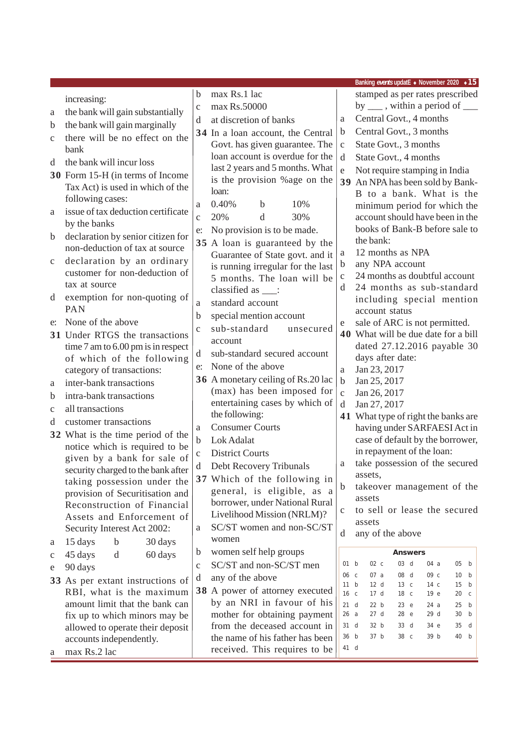|              |                                                              |              |                                                                      |                           | Banking events updatE • November 2020 • 15                                |
|--------------|--------------------------------------------------------------|--------------|----------------------------------------------------------------------|---------------------------|---------------------------------------------------------------------------|
|              | increasing:                                                  | b            | max Rs.1 lac                                                         |                           | stamped as per rates prescribed                                           |
| a            | the bank will gain substantially                             | $\mathbf{C}$ | max Rs.50000                                                         |                           | by $\frac{1}{\sqrt{2}}$ , within a period of $\frac{1}{\sqrt{2}}$         |
| b            | the bank will gain marginally                                | d            | at discretion of banks                                               | a                         | Central Govt., 4 months                                                   |
| $\mathbf{C}$ | there will be no effect on the                               |              | 34 In a loan account, the Central                                    | $\mathbf b$               | Central Govt., 3 months                                                   |
|              | bank                                                         |              | Govt. has given guarantee. The                                       | $\mathbf C$               | State Govt., 3 months                                                     |
| d            | the bank will incur loss                                     |              | loan account is overdue for the                                      | d                         | State Govt., 4 months                                                     |
|              | 30 Form 15-H (in terms of Income                             |              | last 2 years and 5 months. What                                      | e                         | Not require stamping in India                                             |
|              | Tax Act) is used in which of the                             |              | is the provision % age on the                                        |                           | 39 An NPA has been sold by Bank-                                          |
|              | following cases:                                             |              | loan:                                                                |                           | B to a bank. What is the                                                  |
| a            | issue of tax deduction certificate                           | a            | 0.40%<br>10%<br>b                                                    |                           | minimum period for which the                                              |
|              | by the banks                                                 | $\mathbf{C}$ | 20%<br>d<br>30%                                                      |                           | account should have been in the                                           |
| $\mathbf b$  | declaration by senior citizen for                            | e:           | No provision is to be made.                                          |                           | books of Bank-B before sale to<br>the bank:                               |
|              | non-deduction of tax at source                               |              | 35 A loan is guaranteed by the                                       | $\rm{a}$                  | 12 months as NPA                                                          |
| $\mathbf c$  | declaration by an ordinary                                   |              | Guarantee of State govt. and it<br>is running irregular for the last | $\mathbf b$               | any NPA account                                                           |
|              | customer for non-deduction of                                |              | 5 months. The loan will be                                           | $\mathbf{C}$              | 24 months as doubtful account                                             |
|              | tax at source                                                |              | classified as ___:                                                   | d                         | 24 months as sub-standard                                                 |
| d            | exemption for non-quoting of                                 | a            | standard account                                                     |                           | including special mention                                                 |
|              | <b>PAN</b>                                                   | b            | special mention account                                              |                           | account status                                                            |
| e:           | None of the above                                            | $\mathbf{C}$ | sub-standard<br>unsecured                                            | e                         | sale of ARC is not permitted.                                             |
|              | 31 Under RTGS the transactions                               |              | account                                                              |                           | 40 What will be due date for a bill                                       |
|              | time 7 am to 6.00 pm is in respect                           | d            | sub-standard secured account                                         |                           | dated 27.12.2016 payable 30                                               |
|              | of which of the following<br>category of transactions:       | e:           | None of the above                                                    | $\rm{a}$                  | days after date:<br>Jan 23, 2017                                          |
| a            | inter-bank transactions                                      |              | 36 A monetary ceiling of Rs.20 lac                                   | $\mathbf b$               | Jan 25, 2017                                                              |
| b            | intra-bank transactions                                      |              | (max) has been imposed for                                           | $\mathbf{C}$              | Jan 26, 2017                                                              |
| $\mathbf{C}$ | all transactions                                             |              | entertaining cases by which of                                       | d                         | Jan 27, 2017                                                              |
| d            | customer transactions                                        |              | the following:                                                       |                           | 41 What type of right the banks are                                       |
|              | 32 What is the time period of the                            | a            | <b>Consumer Courts</b>                                               |                           | having under SARFAESI Act in                                              |
|              | notice which is required to be                               | b            | Lok Adalat                                                           |                           | case of default by the borrower,                                          |
|              | given by a bank for sale of                                  | $\mathbf C$  | <b>District Courts</b>                                               |                           | in repayment of the loan:                                                 |
|              | security charged to the bank after                           | d            | Debt Recovery Tribunals                                              | a                         | take possession of the secured                                            |
|              | taking possession under the                                  |              | 37 Which of the following in                                         | $\mathbf b$               | assets,<br>takeover management of the                                     |
|              | provision of Securitisation and                              |              | general, is eligible, as a                                           |                           | assets                                                                    |
|              | Reconstruction of Financial                                  |              | borrower, under National Rural<br>Livelihood Mission (NRLM)?         | $\mathbf C$               | to sell or lease the secured                                              |
|              | Assets and Enforcement of                                    |              | SC/ST women and non-SC/ST                                            |                           | assets                                                                    |
|              | Security Interest Act 2002:                                  | a            | women                                                                | d                         | any of the above                                                          |
| a            | 15 days<br>$\mathbf b$<br>30 days                            | b            | women self help groups                                               |                           | <b>Answers</b>                                                            |
| c            | 45 days<br>d<br>60 days                                      | $\mathbf{C}$ | SC/ST and non-SC/ST men                                              | 01 b                      | $02\ c$<br>03 d<br>05 b<br>04 a                                           |
| e            | 90 days                                                      | d            | any of the above                                                     | 06 с                      | 07a<br>08 d<br>09 c<br>10 b                                               |
|              | 33 As per extant instructions of<br>RBI, what is the maximum |              | 38 A power of attorney executed                                      | 11 b                      | 12 d<br>15<br>13 <sub>c</sub><br>14 <sub>c</sub><br>b                     |
|              | amount limit that the bank can                               |              | by an NRI in favour of his                                           | 16 <sub>c</sub><br>$21$ d | 17d<br>18 c<br>19 e<br>20 <sub>c</sub><br>22 b<br>23 e<br>24 a<br>25<br>b |
|              | fix up to which minors may be                                |              | mother for obtaining payment                                         | 26a                       | 27 <sub>d</sub><br>28 e<br>29 d<br>30<br>b                                |
|              | allowed to operate their deposit                             |              | from the deceased account in                                         | 31 d                      | 32 b<br>33 d<br>35<br>34 e<br>d                                           |
|              | accounts independently.                                      |              | the name of his father has been                                      | 36 b                      | 37 b<br>39 b<br>38 c<br>40 b                                              |
| a            | max Rs.2 lac                                                 |              | received. This requires to be                                        | 41 d                      |                                                                           |
|              |                                                              |              |                                                                      |                           |                                                                           |